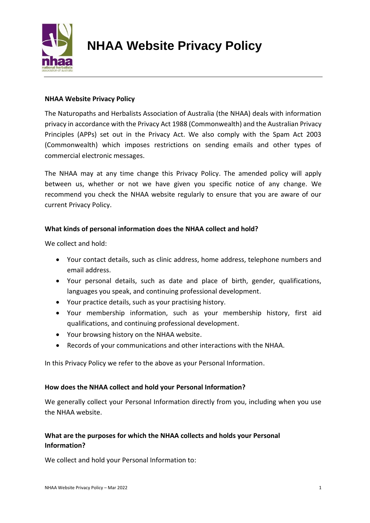

# **NHAA Website Privacy Policy**

# **NHAA Website Privacy Policy**

The Naturopaths and Herbalists Association of Australia (the NHAA) deals with information privacy in accordance with the Privacy Act 1988 (Commonwealth) and the Australian Privacy Principles (APPs) set out in the Privacy Act. We also comply with the Spam Act 2003 (Commonwealth) which imposes restrictions on sending emails and other types of commercial electronic messages.

The NHAA may at any time change this Privacy Policy. The amended policy will apply between us, whether or not we have given you specific notice of any change. We recommend you check the NHAA website regularly to ensure that you are aware of our current Privacy Policy.

#### **What kinds of personal information does the NHAA collect and hold?**

We collect and hold:

- Your contact details, such as clinic address, home address, telephone numbers and email address.
- Your personal details, such as date and place of birth, gender, qualifications, languages you speak, and continuing professional development.
- Your practice details, such as your practising history.
- Your membership information, such as your membership history, first aid qualifications, and continuing professional development.
- Your browsing history on the NHAA website.
- Records of your communications and other interactions with the NHAA.

In this Privacy Policy we refer to the above as your Personal Information.

#### **How does the NHAA collect and hold your Personal Information?**

We generally collect your Personal Information directly from you, including when you use the NHAA website.

# **What are the purposes for which the NHAA collects and holds your Personal Information?**

We collect and hold your Personal Information to: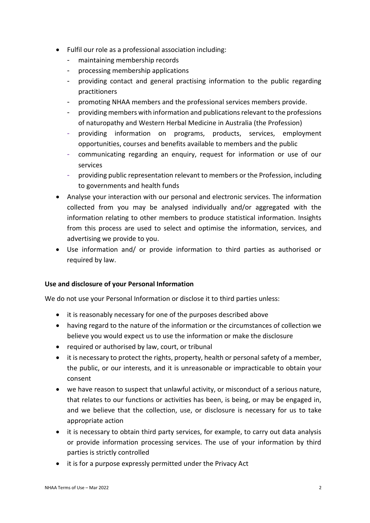- Fulfil our role as a professional association including:
	- maintaining membership records
	- processing membership applications
	- providing contact and general practising information to the public regarding practitioners
	- promoting NHAA members and the professional services members provide.
	- providing members with information and publications relevant to the professions of naturopathy and Western Herbal Medicine in Australia (the Profession)
	- providing information on programs, products, services, employment opportunities, courses and benefits available to members and the public
	- communicating regarding an enquiry, request for information or use of our services
	- providing public representation relevant to members or the Profession, including to governments and health funds
- Analyse your interaction with our personal and electronic services. The information collected from you may be analysed individually and/or aggregated with the information relating to other members to produce statistical information. Insights from this process are used to select and optimise the information, services, and advertising we provide to you.
- Use information and/ or provide information to third parties as authorised or required by law.

#### **Use and disclosure of your Personal Information**

We do not use your Personal Information or disclose it to third parties unless:

- it is reasonably necessary for one of the purposes described above
- having regard to the nature of the information or the circumstances of collection we believe you would expect us to use the information or make the disclosure
- required or authorised by law, court, or tribunal
- it is necessary to protect the rights, property, health or personal safety of a member, the public, or our interests, and it is unreasonable or impracticable to obtain your consent
- we have reason to suspect that unlawful activity, or misconduct of a serious nature, that relates to our functions or activities has been, is being, or may be engaged in, and we believe that the collection, use, or disclosure is necessary for us to take appropriate action
- it is necessary to obtain third party services, for example, to carry out data analysis or provide information processing services. The use of your information by third parties is strictly controlled
- it is for a purpose expressly permitted under the Privacy Act